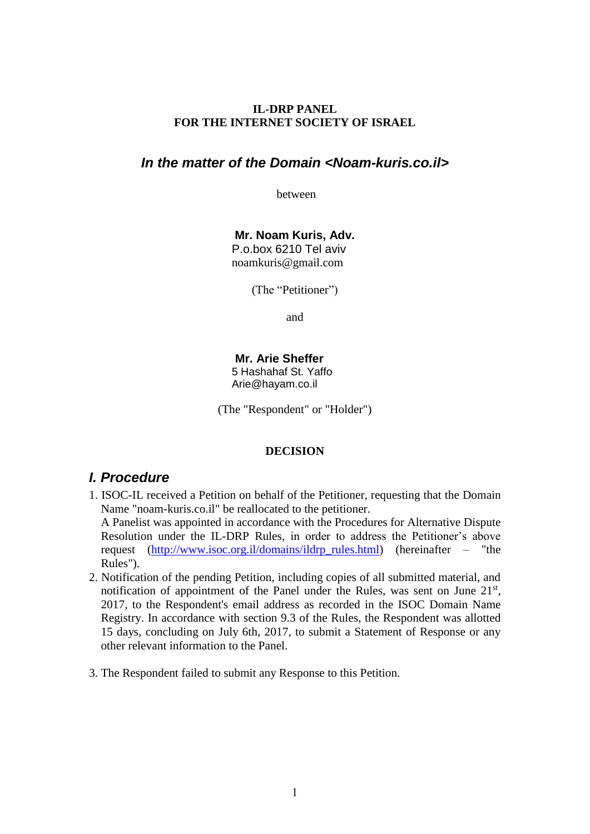### **IL-DRP PANEL FOR THE INTERNET SOCIETY OF ISRAEL**

## *In the matter of the Domain <Noam-kuris.co.il>*

between

**Mr. Noam Kuris, Adv.** P.o.box 6210 Tel aviv noamkuris@gmail.com

(The "Petitioner")

and

**Mr. Arie Sheffer**  5 Hashahaf St. Yaffo Arie@hayam.co.il

(The "Respondent" or "Holder")

#### **DECISION**

## *I. Procedure*

- 1. ISOC-IL received a Petition on behalf of the Petitioner, requesting that the Domain Name "noam-kuris.co.il" be reallocated to the petitioner. A Panelist was appointed in accordance with the Procedures for Alternative Dispute Resolution under the IL-DRP Rules, in order to address the Petitioner's above request [\(http://www.isoc.org.il/domains/ildrp\\_rules.html\)](http://www.isoc.org.il/domains/ildrp_rules.html) (hereinafter – "the Rules").
- 2. Notification of the pending Petition, including copies of all submitted material, and notification of appointment of the Panel under the Rules, was sent on June 21<sup>st</sup>, 2017, to the Respondent's email address as recorded in the ISOC Domain Name Registry. In accordance with section 9.3 of the Rules, the Respondent was allotted 15 days, concluding on July 6th, 2017, to submit a Statement of Response or any other relevant information to the Panel.
- 3. The Respondent failed to submit any Response to this Petition.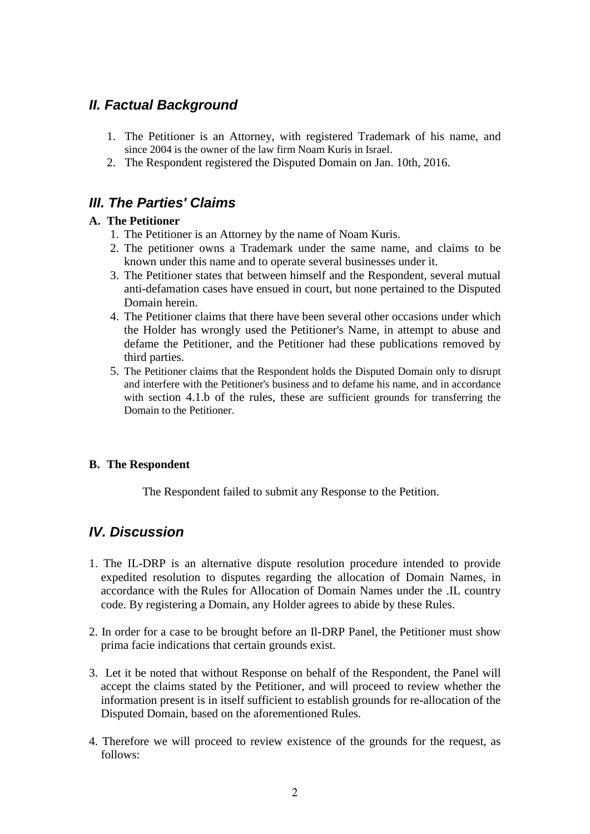# *II. Factual Background*

- 1. The Petitioner is an Attorney, with registered Trademark of his name, and since 2004 is the owner of the law firm Noam Kuris in Israel.
- 2. The Respondent registered the Disputed Domain on Jan. 10th, 2016.

# *III. The Parties' Claims*

## **A. The Petitioner**

- 1. The Petitioner is an Attorney by the name of Noam Kuris.
- 2. The petitioner owns a Trademark under the same name, and claims to be known under this name and to operate several businesses under it.
- 3. The Petitioner states that between himself and the Respondent, several mutual anti-defamation cases have ensued in court, but none pertained to the Disputed Domain herein.
- 4. The Petitioner claims that there have been several other occasions under which the Holder has wrongly used the Petitioner's Name, in attempt to abuse and defame the Petitioner, and the Petitioner had these publications removed by third parties.
- 5. The Petitioner claims that the Respondent holds the Disputed Domain only to disrupt and interfere with the Petitioner's business and to defame his name, and in accordance with section 4.1.b of the rules, these are sufficient grounds for transferring the Domain to the Petitioner.

## **B. The Respondent**

The Respondent failed to submit any Response to the Petition.

# *IV. Discussion*

- 1. The IL-DRP is an alternative dispute resolution procedure intended to provide expedited resolution to disputes regarding the allocation of Domain Names, in accordance with the [Rules for Allocation of Domain Names under the .IL](http://www.isoc.org.il/domains/il-domain-rules.html) country code. By registering a Domain, any Holder agrees to abide by these Rules.
- 2. In order for a case to be brought before an Il-DRP Panel, the Petitioner must show prima facie indications that certain grounds exist.
- 3. Let it be noted that without Response on behalf of the Respondent, the Panel will accept the claims stated by the Petitioner, and will proceed to review whether the information present is in itself sufficient to establish grounds for re-allocation of the Disputed Domain, based on the aforementioned Rules.
- 4. Therefore we will proceed to review existence of the grounds for the request, as follows: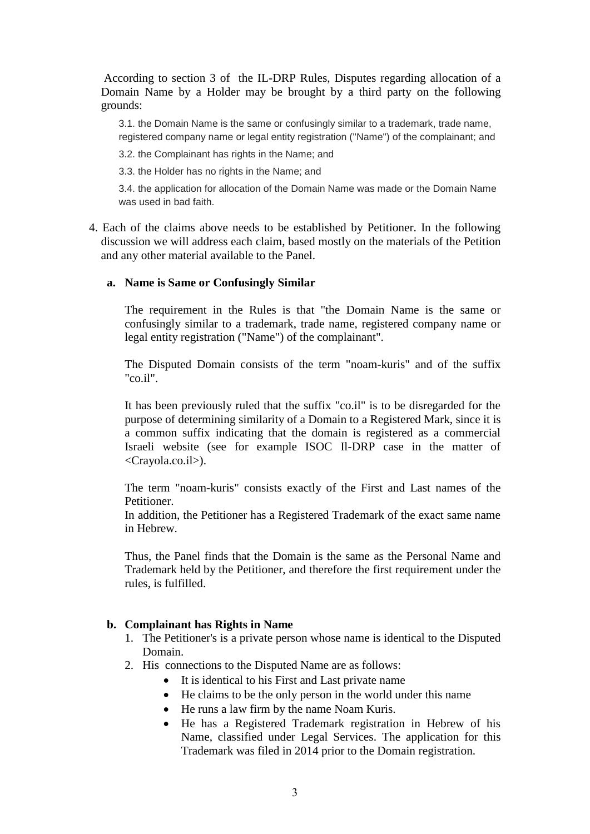According to section 3 of the IL-DRP Rules, Disputes regarding allocation of a Domain Name by a Holder may be brought by a third party on the following grounds:

3.1. the Domain Name is the same or confusingly similar to a trademark, trade name, registered company name or legal entity registration ("Name") of the complainant; and

3.2. the Complainant has rights in the Name; and

3.3. the Holder has no rights in the Name; and

3.4. the application for allocation of the Domain Name was made or the Domain Name was used in bad faith.

4. Each of the claims above needs to be established by Petitioner. In the following discussion we will address each claim, based mostly on the materials of the Petition and any other material available to the Panel.

#### **a. Name is Same or Confusingly Similar**

The requirement in the Rules is that "the Domain Name is the same or confusingly similar to a trademark, trade name, registered company name or legal entity registration ("Name") of the complainant".

The Disputed Domain consists of the term "noam-kuris" and of the suffix "co.il".

It has been previously ruled that the suffix "co.il" is to be disregarded for the purpose of determining similarity of a Domain to a Registered Mark, since it is a common suffix indicating that the domain is registered as a commercial Israeli website (see for example ISOC Il-DRP case in the matter of <Crayola.co.il>).

The term "noam-kuris" consists exactly of the First and Last names of the Petitioner.

In addition, the Petitioner has a Registered Trademark of the exact same name in Hebrew.

Thus, the Panel finds that the Domain is the same as the Personal Name and Trademark held by the Petitioner, and therefore the first requirement under the rules, is fulfilled.

#### **b. Complainant has Rights in Name**

- 1. The Petitioner's is a private person whose name is identical to the Disputed Domain.
- 2. His connections to the Disputed Name are as follows:
	- It is identical to his First and Last private name
	- He claims to be the only person in the world under this name
	- He runs a law firm by the name Noam Kuris.
	- He has a Registered Trademark registration in Hebrew of his Name, classified under Legal Services. The application for this Trademark was filed in 2014 prior to the Domain registration.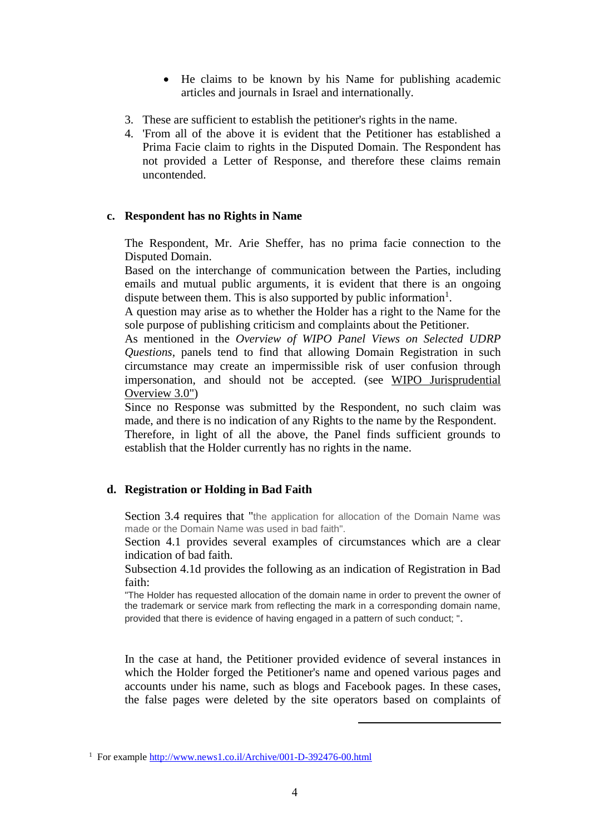- He claims to be known by his Name for publishing academic articles and journals in Israel and internationally.
- 3. These are sufficient to establish the petitioner's rights in the name.
- 4. 'From all of the above it is evident that the Petitioner has established a Prima Facie claim to rights in the Disputed Domain. The Respondent has not provided a Letter of Response, and therefore these claims remain uncontended.

### **c. Respondent has no Rights in Name**

The Respondent, Mr. Arie Sheffer, has no prima facie connection to the Disputed Domain.

Based on the interchange of communication between the Parties, including emails and mutual public arguments, it is evident that there is an ongoing dispute between them. This is also supported by public information<sup>1</sup>.

A question may arise as to whether the Holder has a right to the Name for the sole purpose of publishing criticism and complaints about the Petitioner.

As mentioned in the *Overview of WIPO Panel Views on Selected UDRP Questions*, panels tend to find that allowing Domain Registration in such circumstance may create an impermissible risk of user confusion through impersonation, and should not be accepted. (see WIPO Jurisprudential Overview 3.0")

Since no Response was submitted by the Respondent, no such claim was made, and there is no indication of any Rights to the name by the Respondent.

Therefore, in light of all the above, the Panel finds sufficient grounds to establish that the Holder currently has no rights in the name.

## **d. Registration or Holding in Bad Faith**

Section 3.4 requires that "the application for allocation of the Domain Name was made or the Domain Name was used in bad faith".

Section 4.1 provides several examples of circumstances which are a clear indication of bad faith.

Subsection 4.1d provides the following as an indication of Registration in Bad faith:

"The Holder has requested allocation of the domain name in order to prevent the owner of the trademark or service mark from reflecting the mark in a corresponding domain name, provided that there is evidence of having engaged in a pattern of such conduct; ".

In the case at hand, the Petitioner provided evidence of several instances in which the Holder forged the Petitioner's name and opened various pages and accounts under his name, such as blogs and Facebook pages. In these cases, the false pages were deleted by the site operators based on complaints of

1

<sup>&</sup>lt;sup>1</sup> For [e](http://www.news1.co.il/Archive/001-D-392476-00.html)xample <http://www.news1.co.il/Archive/001-D-392476-00.html>